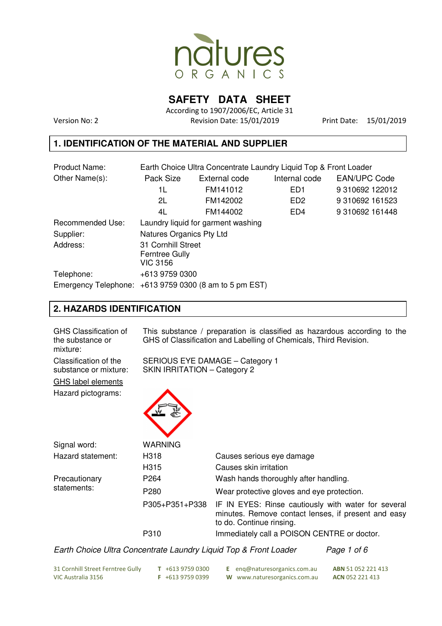

**SAFETY DATA SHEET** 

According to 1907/2006/EC, Article 31 Version No: 2 Revision Date: 15/01/2019 Print Date: 15/01/2019

### **1. IDENTIFICATION OF THE MATERIAL AND SUPPLIER**

| <b>Product Name:</b>    | Earth Choice Ultra Concentrate Laundry Liquid Top & Front Loader |                                    |                 |                     |  |  |
|-------------------------|------------------------------------------------------------------|------------------------------------|-----------------|---------------------|--|--|
| Other Name(s):          | Pack Size                                                        | External code                      | Internal code   | <b>EAN/UPC Code</b> |  |  |
|                         | 1L                                                               | FM141012                           | ED <sub>1</sub> | 9 310692 122012     |  |  |
|                         | 2L                                                               | FM142002                           | ED <sub>2</sub> | 9 310692 161523     |  |  |
|                         | 4L                                                               | FM144002                           | ED <sub>4</sub> | 9 310692 161448     |  |  |
| <b>Recommended Use:</b> |                                                                  | Laundry liquid for garment washing |                 |                     |  |  |
| Supplier:               |                                                                  | Natures Organics Pty Ltd           |                 |                     |  |  |
| Address:                | 31 Cornhill Street<br>Ferntree Gully<br><b>VIC 3156</b>          |                                    |                 |                     |  |  |
| Telephone:              | +613 9759 0300                                                   |                                    |                 |                     |  |  |
|                         | Emergency Telephone: $+61397590300$ (8 am to 5 pm EST)           |                                    |                 |                     |  |  |

### **2. HAZARDS IDENTIFICATION**

| <b>GHS Classification of</b><br>the substance or<br>mixture: | This substance / preparation is classified as hazardous according to the<br>GHS of Classification and Labelling of Chemicals, Third Revision. |                                                                                                                                        |  |  |
|--------------------------------------------------------------|-----------------------------------------------------------------------------------------------------------------------------------------------|----------------------------------------------------------------------------------------------------------------------------------------|--|--|
| Classification of the<br>substance or mixture:               | SERIOUS EYE DAMAGE - Category 1<br>SKIN IRRITATION - Category 2                                                                               |                                                                                                                                        |  |  |
| <b>GHS label elements</b>                                    |                                                                                                                                               |                                                                                                                                        |  |  |
| Hazard pictograms:                                           |                                                                                                                                               |                                                                                                                                        |  |  |
| Signal word:                                                 | <b>WARNING</b>                                                                                                                                |                                                                                                                                        |  |  |
| Hazard statement:                                            | H318                                                                                                                                          | Causes serious eye damage                                                                                                              |  |  |
|                                                              | H315                                                                                                                                          | Causes skin irritation                                                                                                                 |  |  |
| Precautionary                                                | P <sub>264</sub>                                                                                                                              | Wash hands thoroughly after handling.                                                                                                  |  |  |
| statements:                                                  | P <sub>280</sub>                                                                                                                              | Wear protective gloves and eye protection.                                                                                             |  |  |
|                                                              | P305+P351+P338                                                                                                                                | IF IN EYES: Rinse cautiously with water for several<br>minutes. Remove contact lenses, if present and easy<br>to do. Continue rinsing. |  |  |
|                                                              | P310                                                                                                                                          | Immediately call a POISON CENTRE or doctor.                                                                                            |  |  |
|                                                              |                                                                                                                                               | .                                                                                                                                      |  |  |

Earth Choice Ultra Concentrate Laundry Liquid Top & Front Loader Page 1 of 6

| 31 Cornhill Street Ferntree Gully | $T$ +613 9759 0300 | <b>E</b> eng@naturesorganics.com.au | <b>ABN</b> 51 052 221 413 |
|-----------------------------------|--------------------|-------------------------------------|---------------------------|
| VIC Australia 3156                | $F + 61397590399$  | W www.naturesorganics.com.au        | <b>ACN 052 221 413</b>    |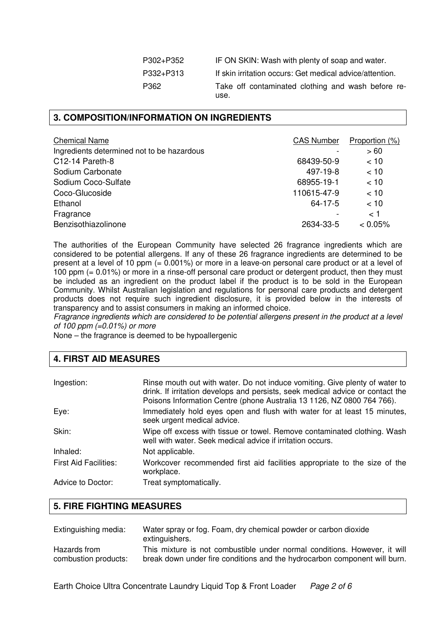| P302+P352 | IF ON SKIN: Wash with plenty of soap and water.            |
|-----------|------------------------------------------------------------|
| P332+P313 | If skin irritation occurs: Get medical advice/attention.   |
| P362      | Take off contaminated clothing and wash before re-<br>use. |

### **3. COMPOSITION/INFORMATION ON INGREDIENTS**

| <b>Chemical Name</b>                       | <b>CAS Number</b> | Proportion (%) |
|--------------------------------------------|-------------------|----------------|
| Ingredients determined not to be hazardous |                   | >60            |
| C12-14 Pareth-8                            | 68439-50-9        | < 10           |
| Sodium Carbonate                           | 497-19-8          | < 10           |
| Sodium Coco-Sulfate                        | 68955-19-1        | < 10           |
| Coco-Glucoside                             | 110615-47-9       | < 10           |
| Ethanol                                    | 64-17-5           | < 10           |
| Fragrance                                  |                   | < 1            |
| Benzisothiazolinone                        | 2634-33-5         | $< 0.05\%$     |

The authorities of the European Community have selected 26 fragrance ingredients which are considered to be potential allergens. If any of these 26 fragrance ingredients are determined to be present at a level of 10 ppm (= 0.001%) or more in a leave-on personal care product or at a level of 100 ppm (= 0.01%) or more in a rinse-off personal care product or detergent product, then they must be included as an ingredient on the product label if the product is to be sold in the European Community. Whilst Australian legislation and regulations for personal care products and detergent products does not require such ingredient disclosure, it is provided below in the interests of transparency and to assist consumers in making an informed choice.

Fragrance ingredients which are considered to be potential allergens present in the product at a level of 100 ppm  $(=0.01\%)$  or more

None – the fragrance is deemed to be hypoallergenic

| 4. FIRST AID MEASURES |  |
|-----------------------|--|
|-----------------------|--|

| Ingestion:                   | Rinse mouth out with water. Do not induce vomiting. Give plenty of water to<br>drink. If irritation develops and persists, seek medical advice or contact the<br>Poisons Information Centre (phone Australia 13 1126, NZ 0800 764 766). |
|------------------------------|-----------------------------------------------------------------------------------------------------------------------------------------------------------------------------------------------------------------------------------------|
| Eye:                         | Immediately hold eyes open and flush with water for at least 15 minutes,<br>seek urgent medical advice.                                                                                                                                 |
| Skin:                        | Wipe off excess with tissue or towel. Remove contaminated clothing. Wash<br>well with water. Seek medical advice if irritation occurs.                                                                                                  |
| Inhaled:                     | Not applicable.                                                                                                                                                                                                                         |
| <b>First Aid Facilities:</b> | Workcover recommended first aid facilities appropriate to the size of the<br>workplace.                                                                                                                                                 |
| Advice to Doctor:            | Treat symptomatically.                                                                                                                                                                                                                  |

### **5. FIRE FIGHTING MEASURES**

| Extinguishing media: | Water spray or fog. Foam, dry chemical powder or carbon dioxide<br>extinguishers. |
|----------------------|-----------------------------------------------------------------------------------|
| Hazards from         | This mixture is not combustible under normal conditions. However, it will         |
| combustion products: | break down under fire conditions and the hydrocarbon component will burn.         |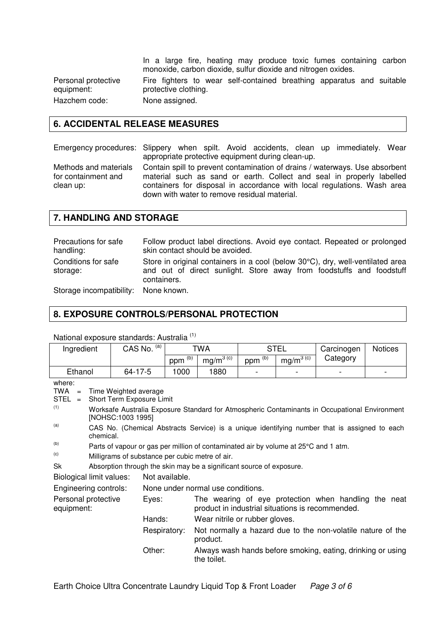In a large fire, heating may produce toxic fumes containing carbon monoxide, carbon dioxide, sulfur dioxide and nitrogen oxides.

Personal protective equipment: Hazchem code: None assigned.

Fire fighters to wear self-contained breathing apparatus and suitable protective clothing.

# **6. ACCIDENTAL RELEASE MEASURES**

Emergency procedures: Slippery when spilt. Avoid accidents, clean up immediately. Wear appropriate protective equipment during clean-up.

Methods and materials for containment and clean up:

Contain spill to prevent contamination of drains / waterways. Use absorbent material such as sand or earth. Collect and seal in properly labelled containers for disposal in accordance with local regulations. Wash area down with water to remove residual material.

### **7. HANDLING AND STORAGE**

Precautions for safe handling: Follow product label directions. Avoid eye contact. Repeated or prolonged skin contact should be avoided. Conditions for safe storage: Store in original containers in a cool (below 30°C), dry, well-ventilated area and out of direct sunlight. Store away from foodstuffs and foodstuff containers.

Storage incompatibility: None known.

### **8. EXPOSURE CONTROLS/PERSONAL PROTECTION**

| Ingredient                                                                                                                                                                                                                                                                                                                                      |  | CAS No. (a)                                                                         |                      | TWA                                                                                                      |                                                             | <b>STEL</b>   |                                                             | <b>Notices</b> |
|-------------------------------------------------------------------------------------------------------------------------------------------------------------------------------------------------------------------------------------------------------------------------------------------------------------------------------------------------|--|-------------------------------------------------------------------------------------|----------------------|----------------------------------------------------------------------------------------------------------|-------------------------------------------------------------|---------------|-------------------------------------------------------------|----------------|
|                                                                                                                                                                                                                                                                                                                                                 |  |                                                                                     | $ppm$ <sup>(b)</sup> | $mg/m^{3(G)}$                                                                                            | $ppm$ <sup>(b)</sup>                                        | $mg/m^{3(G)}$ | Category                                                    |                |
| Ethanol                                                                                                                                                                                                                                                                                                                                         |  | 64-17-5                                                                             | 1000                 | 1880                                                                                                     |                                                             |               |                                                             |                |
| where:<br>TWA<br>Time Weighted average<br>$\equiv$<br>STEL<br>Short Term Exposure Limit<br>$=$<br>(1)<br>Worksafe Australia Exposure Standard for Atmospheric Contaminants in Occupational Environment<br>[NOHSC:1003 1995]<br>(a)<br>CAS No. (Chemical Abstracts Service) is a unique identifying number that is assigned to each<br>chemical. |  |                                                                                     |                      |                                                                                                          |                                                             |               |                                                             |                |
| (b)                                                                                                                                                                                                                                                                                                                                             |  | Parts of vapour or gas per million of contaminated air by volume at 25°C and 1 atm. |                      |                                                                                                          |                                                             |               |                                                             |                |
| (c)                                                                                                                                                                                                                                                                                                                                             |  | Milligrams of substance per cubic metre of air.                                     |                      |                                                                                                          |                                                             |               |                                                             |                |
| Sk                                                                                                                                                                                                                                                                                                                                              |  | Absorption through the skin may be a significant source of exposure.                |                      |                                                                                                          |                                                             |               |                                                             |                |
| Biological limit values:                                                                                                                                                                                                                                                                                                                        |  |                                                                                     | Not available.       |                                                                                                          |                                                             |               |                                                             |                |
| Engineering controls:                                                                                                                                                                                                                                                                                                                           |  |                                                                                     |                      | None under normal use conditions.                                                                        |                                                             |               |                                                             |                |
| Personal protective<br>Eyes:<br>equipment:                                                                                                                                                                                                                                                                                                      |  |                                                                                     |                      | The wearing of eye protection when handling the neat<br>product in industrial situations is recommended. |                                                             |               |                                                             |                |
|                                                                                                                                                                                                                                                                                                                                                 |  | Hands:                                                                              |                      | Wear nitrile or rubber gloves.                                                                           |                                                             |               |                                                             |                |
| Respiratory:                                                                                                                                                                                                                                                                                                                                    |  | product.                                                                            |                      |                                                                                                          | Not normally a hazard due to the non-volatile nature of the |               |                                                             |                |
|                                                                                                                                                                                                                                                                                                                                                 |  | Other:                                                                              |                      | the toilet.                                                                                              |                                                             |               | Always wash hands before smoking, eating, drinking or using |                |

National exposure standards: Australia (1)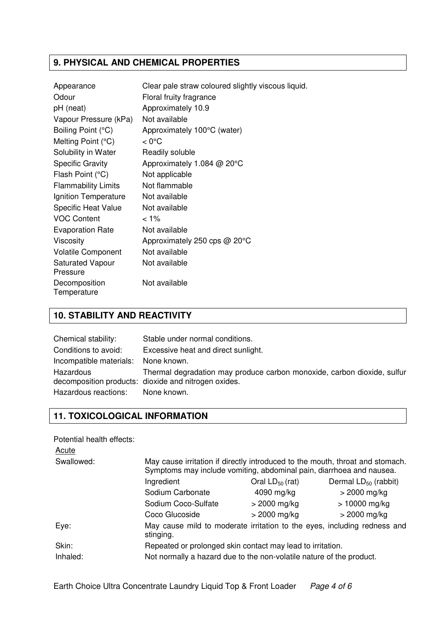### **9. PHYSICAL AND CHEMICAL PROPERTIES**

| Appearance                          | Clear pale straw coloured slightly viscous liquid. |
|-------------------------------------|----------------------------------------------------|
| Odour                               | Floral fruity fragrance                            |
| pH (neat)                           | Approximately 10.9                                 |
| Vapour Pressure (kPa)               | Not available                                      |
| Boiling Point (°C)                  | Approximately 100°C (water)                        |
| Melting Point (°C)                  | $< 0^{\circ}$ C                                    |
| Solubility in Water                 | Readily soluble                                    |
| <b>Specific Gravity</b>             | Approximately 1.084 @ 20°C                         |
| Flash Point (°C)                    | Not applicable                                     |
| <b>Flammability Limits</b>          | Not flammable                                      |
| Ignition Temperature                | Not available                                      |
| <b>Specific Heat Value</b>          | Not available                                      |
| <b>VOC Content</b>                  | $< 1\%$                                            |
| <b>Evaporation Rate</b>             | Not available                                      |
| <b>Viscosity</b>                    | Approximately 250 cps @ 20°C                       |
| <b>Volatile Component</b>           | Not available                                      |
| <b>Saturated Vapour</b><br>Pressure | Not available                                      |
| Decomposition<br>Temperature        | Not available                                      |

### **10. STABILITY AND REACTIVITY**

| Chemical stability:               | Stable under normal conditions.                                                                                                                |
|-----------------------------------|------------------------------------------------------------------------------------------------------------------------------------------------|
| Conditions to avoid:              | Excessive heat and direct sunlight.                                                                                                            |
| Incompatible materials:           | None known.                                                                                                                                    |
| Hazardous<br>Hazardous reactions: | Thermal degradation may produce carbon monoxide, carbon dioxide, sulfur<br>decomposition products: dioxide and nitrogen oxides.<br>None known. |

## **11. TOXICOLOGICAL INFORMATION**

Potential health effects:

| May cause irritation if directly introduced to the mouth, throat and stomach.         |                      |                                                                      |  |  |  |  |
|---------------------------------------------------------------------------------------|----------------------|----------------------------------------------------------------------|--|--|--|--|
|                                                                                       |                      |                                                                      |  |  |  |  |
| Ingredient                                                                            | Oral $LD_{50}$ (rat) | Dermal $LD_{50}$ (rabbit)                                            |  |  |  |  |
| Sodium Carbonate                                                                      | 4090 mg/kg           | $>$ 2000 mg/kg                                                       |  |  |  |  |
| Sodium Coco-Sulfate                                                                   | $>$ 2000 mg/kg       | $> 10000$ mg/kg                                                      |  |  |  |  |
| Coco Glucoside                                                                        | $>$ 2000 mg/kg       | $>$ 2000 mg/kg                                                       |  |  |  |  |
| May cause mild to moderate irritation to the eyes, including redness and<br>stinging. |                      |                                                                      |  |  |  |  |
| Repeated or prolonged skin contact may lead to irritation.                            |                      |                                                                      |  |  |  |  |
| Not normally a hazard due to the non-volatile nature of the product.                  |                      |                                                                      |  |  |  |  |
|                                                                                       |                      | Symptoms may include vomiting, abdominal pain, diarrhoea and nausea. |  |  |  |  |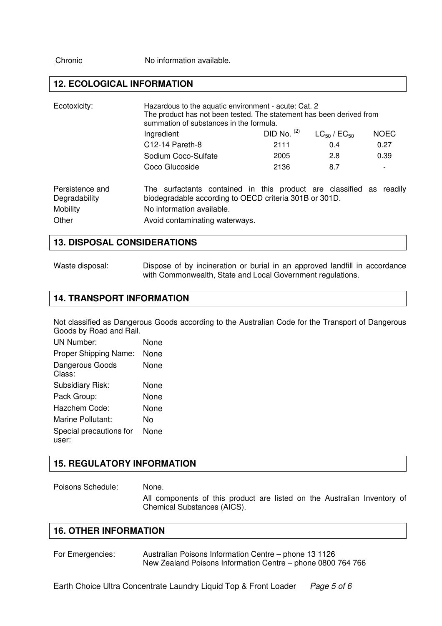Chronic No information available.

### **12. ECOLOGICAL INFORMATION**

| Ecotoxicity:                                          | Hazardous to the aquatic environment - acute: Cat. 2<br>The product has not been tested. The statement has been derived from<br>summation of substances in the formula.                      |               |                       |             |
|-------------------------------------------------------|----------------------------------------------------------------------------------------------------------------------------------------------------------------------------------------------|---------------|-----------------------|-------------|
|                                                       | Ingredient                                                                                                                                                                                   | DID No. $(2)$ | $LC_{50}$ / $EC_{50}$ | <b>NOEC</b> |
|                                                       | $C12-14$ Pareth-8                                                                                                                                                                            | 2111          | 0.4                   | 0.27        |
|                                                       | Sodium Coco-Sulfate                                                                                                                                                                          | 2005          | 2.8                   | 0.39        |
|                                                       | Coco Glucoside                                                                                                                                                                               | 2136          | 8.7                   |             |
| Persistence and<br>Degradability<br>Mobility<br>Other | The surfactants contained in this product are classified as readily<br>biodegradable according to OECD criteria 301B or 301D.<br>No information available.<br>Avoid contaminating waterways. |               |                       |             |

#### **13. DISPOSAL CONSIDERATIONS**

Waste disposal: Dispose of by incineration or burial in an approved landfill in accordance with Commonwealth, State and Local Government regulations.

### **14. TRANSPORT INFORMATION**

Not classified as Dangerous Goods according to the Australian Code for the Transport of Dangerous Goods by Road and Rail.

| <b>UN Number:</b>                | None |
|----------------------------------|------|
| Proper Shipping Name:            | None |
| Dangerous Goods<br>Class:        | None |
| Subsidiary Risk:                 | None |
| Pack Group:                      | None |
| Hazchem Code:                    | None |
| Marine Pollutant:                | N٥   |
| Special precautions for<br>user: | None |

### **15. REGULATORY INFORMATION**

Poisons Schedule: None.

All components of this product are listed on the Australian Inventory of Chemical Substances (AICS).

### **16. OTHER INFORMATION**

For Emergencies: Australian Poisons Information Centre – phone 13 1126 New Zealand Poisons Information Centre – phone 0800 764 766